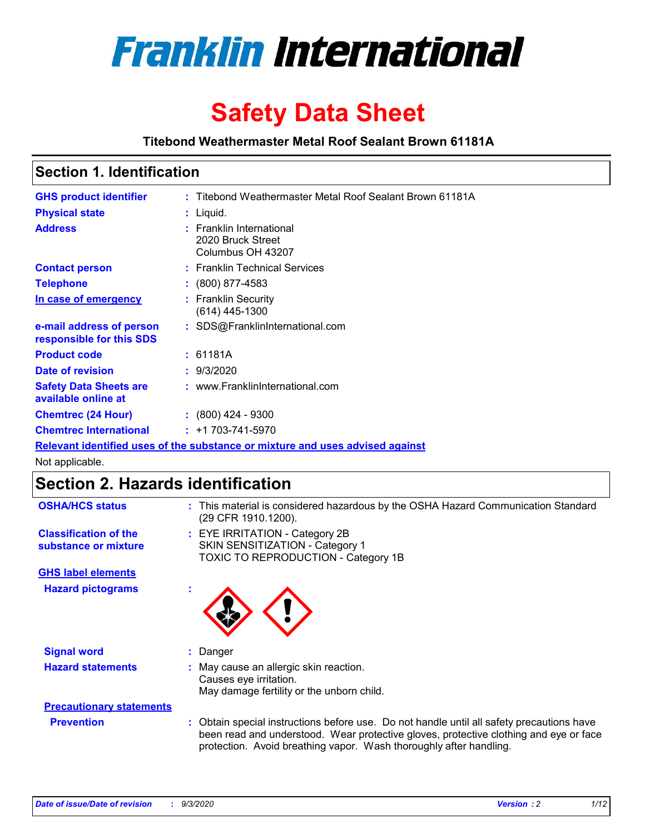

# **Safety Data Sheet**

**Titebond Weathermaster Metal Roof Sealant Brown 61181A**

### **Section 1. Identification**

| <b>GHS product identifier</b>                                                 |  | : Titebond Weathermaster Metal Roof Sealant Brown 61181A           |  |
|-------------------------------------------------------------------------------|--|--------------------------------------------------------------------|--|
| <b>Physical state</b>                                                         |  | $:$ Liquid.                                                        |  |
| <b>Address</b>                                                                |  | : Franklin International<br>2020 Bruck Street<br>Columbus OH 43207 |  |
| <b>Contact person</b>                                                         |  | : Franklin Technical Services                                      |  |
| <b>Telephone</b>                                                              |  | $: (800) 877 - 4583$                                               |  |
| In case of emergency                                                          |  | : Franklin Security<br>(614) 445-1300                              |  |
| e-mail address of person<br>responsible for this SDS                          |  | : SDS@FranklinInternational.com                                    |  |
| <b>Product code</b>                                                           |  | : 61181A                                                           |  |
| Date of revision                                                              |  | : 9/3/2020                                                         |  |
| <b>Safety Data Sheets are</b><br>available online at                          |  | : www.FranklinInternational.com                                    |  |
| <b>Chemtrec (24 Hour)</b>                                                     |  | $\div$ (800) 424 - 9300                                            |  |
| <b>Chemtrec International</b>                                                 |  | $: +1703 - 741 - 5970$                                             |  |
| Relevant identified uses of the substance or mixture and uses advised against |  |                                                                    |  |

Not applicable.

## **Section 2. Hazards identification**

| <b>OSHA/HCS status</b>                               |    | : This material is considered hazardous by the OSHA Hazard Communication Standard<br>(29 CFR 1910.1200).                                                                                                                                                 |
|------------------------------------------------------|----|----------------------------------------------------------------------------------------------------------------------------------------------------------------------------------------------------------------------------------------------------------|
| <b>Classification of the</b><br>substance or mixture |    | : EYE IRRITATION - Category 2B<br>SKIN SENSITIZATION - Category 1<br>TOXIC TO REPRODUCTION - Category 1B                                                                                                                                                 |
| <b>GHS label elements</b>                            |    |                                                                                                                                                                                                                                                          |
| <b>Hazard pictograms</b>                             | ×. |                                                                                                                                                                                                                                                          |
| <b>Signal word</b>                                   | ÷. | Danger                                                                                                                                                                                                                                                   |
| <b>Hazard statements</b>                             |    | May cause an allergic skin reaction.<br>Causes eye irritation.<br>May damage fertility or the unborn child.                                                                                                                                              |
| <b>Precautionary statements</b>                      |    |                                                                                                                                                                                                                                                          |
| <b>Prevention</b>                                    |    | : Obtain special instructions before use. Do not handle until all safety precautions have<br>been read and understood. Wear protective gloves, protective clothing and eye or face<br>protection. Avoid breathing vapor. Wash thoroughly after handling. |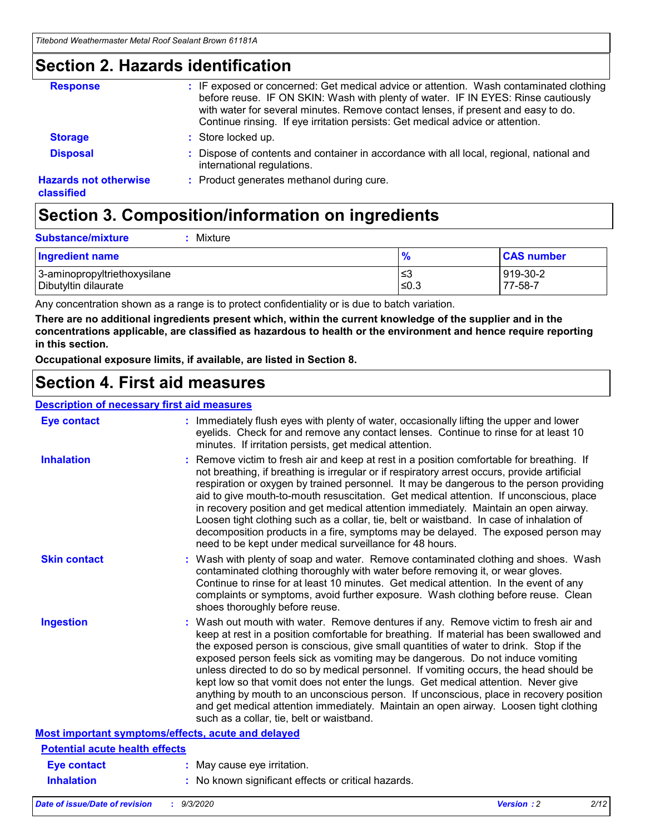### **Section 2. Hazards identification**

| <b>Response</b>                            | : IF exposed or concerned: Get medical advice or attention. Wash contaminated clothing<br>before reuse. IF ON SKIN: Wash with plenty of water. IF IN EYES: Rinse cautiously<br>with water for several minutes. Remove contact lenses, if present and easy to do.<br>Continue rinsing. If eye irritation persists: Get medical advice or attention. |
|--------------------------------------------|----------------------------------------------------------------------------------------------------------------------------------------------------------------------------------------------------------------------------------------------------------------------------------------------------------------------------------------------------|
| <b>Storage</b>                             | : Store locked up.                                                                                                                                                                                                                                                                                                                                 |
| <b>Disposal</b>                            | : Dispose of contents and container in accordance with all local, regional, national and<br>international regulations.                                                                                                                                                                                                                             |
| <b>Hazards not otherwise</b><br>classified | : Product generates methanol during cure.                                                                                                                                                                                                                                                                                                          |

# **Section 3. Composition/information on ingredients**

| <b>Substance/mixture</b> | Mixture |
|--------------------------|---------|
|                          |         |

| <b>Ingredient name</b>       | $\frac{9}{6}$ | <b>CAS number</b> |
|------------------------------|---------------|-------------------|
| 3-aminopropyltriethoxysilane | ≤3            | 919-30-2          |
| Dibutyltin dilaurate         | ∣≤0.3         | 77-58-7           |

Any concentration shown as a range is to protect confidentiality or is due to batch variation.

**There are no additional ingredients present which, within the current knowledge of the supplier and in the concentrations applicable, are classified as hazardous to health or the environment and hence require reporting in this section.**

**Occupational exposure limits, if available, are listed in Section 8.**

### **Section 4. First aid measures**

| <b>Description of necessary first aid measures</b> |                                                                                                                                                                                                                                                                                                                                                                                                                                                                                                                                                                                                                                                                                                                                                                           |
|----------------------------------------------------|---------------------------------------------------------------------------------------------------------------------------------------------------------------------------------------------------------------------------------------------------------------------------------------------------------------------------------------------------------------------------------------------------------------------------------------------------------------------------------------------------------------------------------------------------------------------------------------------------------------------------------------------------------------------------------------------------------------------------------------------------------------------------|
| <b>Eye contact</b>                                 | : Immediately flush eyes with plenty of water, occasionally lifting the upper and lower<br>eyelids. Check for and remove any contact lenses. Continue to rinse for at least 10<br>minutes. If irritation persists, get medical attention.                                                                                                                                                                                                                                                                                                                                                                                                                                                                                                                                 |
| <b>Inhalation</b>                                  | : Remove victim to fresh air and keep at rest in a position comfortable for breathing. If<br>not breathing, if breathing is irregular or if respiratory arrest occurs, provide artificial<br>respiration or oxygen by trained personnel. It may be dangerous to the person providing<br>aid to give mouth-to-mouth resuscitation. Get medical attention. If unconscious, place<br>in recovery position and get medical attention immediately. Maintain an open airway.<br>Loosen tight clothing such as a collar, tie, belt or waistband. In case of inhalation of<br>decomposition products in a fire, symptoms may be delayed. The exposed person may<br>need to be kept under medical surveillance for 48 hours.                                                       |
| <b>Skin contact</b>                                | : Wash with plenty of soap and water. Remove contaminated clothing and shoes. Wash<br>contaminated clothing thoroughly with water before removing it, or wear gloves.<br>Continue to rinse for at least 10 minutes. Get medical attention. In the event of any<br>complaints or symptoms, avoid further exposure. Wash clothing before reuse. Clean<br>shoes thoroughly before reuse.                                                                                                                                                                                                                                                                                                                                                                                     |
| <b>Ingestion</b>                                   | : Wash out mouth with water. Remove dentures if any. Remove victim to fresh air and<br>keep at rest in a position comfortable for breathing. If material has been swallowed and<br>the exposed person is conscious, give small quantities of water to drink. Stop if the<br>exposed person feels sick as vomiting may be dangerous. Do not induce vomiting<br>unless directed to do so by medical personnel. If vomiting occurs, the head should be<br>kept low so that vomit does not enter the lungs. Get medical attention. Never give<br>anything by mouth to an unconscious person. If unconscious, place in recovery position<br>and get medical attention immediately. Maintain an open airway. Loosen tight clothing<br>such as a collar, tie, belt or waistband. |
| Most important symptoms/effects, acute and delayed |                                                                                                                                                                                                                                                                                                                                                                                                                                                                                                                                                                                                                                                                                                                                                                           |
| <b>Potential acute health effects</b>              |                                                                                                                                                                                                                                                                                                                                                                                                                                                                                                                                                                                                                                                                                                                                                                           |
| <b>Eye contact</b>                                 | : May cause eye irritation.                                                                                                                                                                                                                                                                                                                                                                                                                                                                                                                                                                                                                                                                                                                                               |
| <b>Inhalation</b>                                  | : No known significant effects or critical hazards.                                                                                                                                                                                                                                                                                                                                                                                                                                                                                                                                                                                                                                                                                                                       |
|                                                    |                                                                                                                                                                                                                                                                                                                                                                                                                                                                                                                                                                                                                                                                                                                                                                           |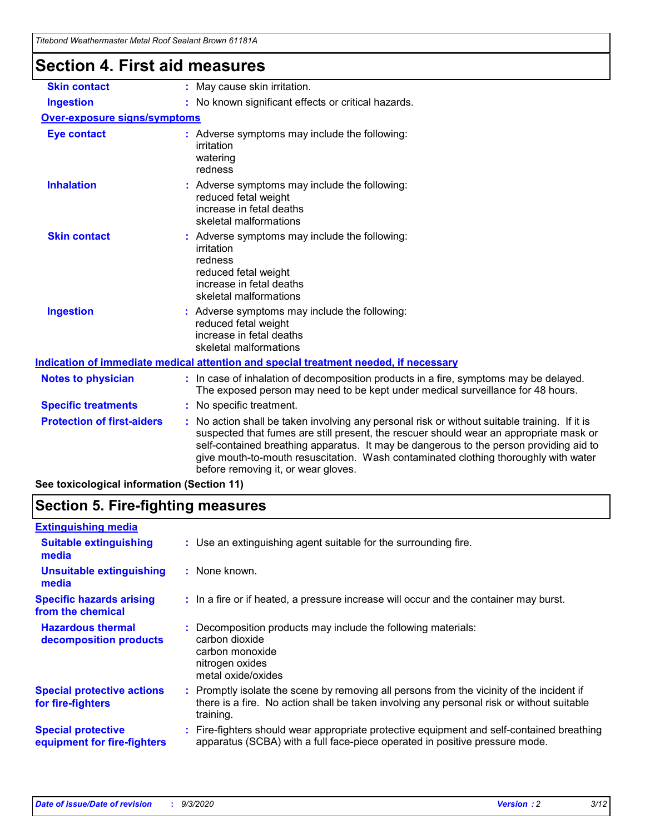| Titebond Weathermaster Metal Roof Sealant Brown 61181A |                                                                                                                                                                                                                                                                                                                                                                                                                 |
|--------------------------------------------------------|-----------------------------------------------------------------------------------------------------------------------------------------------------------------------------------------------------------------------------------------------------------------------------------------------------------------------------------------------------------------------------------------------------------------|
| <b>Section 4. First aid measures</b>                   |                                                                                                                                                                                                                                                                                                                                                                                                                 |
| <b>Skin contact</b>                                    | : May cause skin irritation.                                                                                                                                                                                                                                                                                                                                                                                    |
| <b>Ingestion</b>                                       | : No known significant effects or critical hazards.                                                                                                                                                                                                                                                                                                                                                             |
| <b>Over-exposure signs/symptoms</b>                    |                                                                                                                                                                                                                                                                                                                                                                                                                 |
| <b>Eye contact</b>                                     | : Adverse symptoms may include the following:<br>irritation<br>watering<br>redness                                                                                                                                                                                                                                                                                                                              |
| <b>Inhalation</b>                                      | : Adverse symptoms may include the following:<br>reduced fetal weight<br>increase in fetal deaths<br>skeletal malformations                                                                                                                                                                                                                                                                                     |
| <b>Skin contact</b>                                    | : Adverse symptoms may include the following:<br>irritation<br>redness<br>reduced fetal weight<br>increase in fetal deaths<br>skeletal malformations                                                                                                                                                                                                                                                            |
| <b>Ingestion</b>                                       | : Adverse symptoms may include the following:<br>reduced fetal weight<br>increase in fetal deaths<br>skeletal malformations                                                                                                                                                                                                                                                                                     |
|                                                        | Indication of immediate medical attention and special treatment needed, if necessary                                                                                                                                                                                                                                                                                                                            |
| <b>Notes to physician</b>                              | : In case of inhalation of decomposition products in a fire, symptoms may be delayed.<br>The exposed person may need to be kept under medical surveillance for 48 hours.                                                                                                                                                                                                                                        |
| <b>Specific treatments</b>                             | : No specific treatment.                                                                                                                                                                                                                                                                                                                                                                                        |
| <b>Protection of first-aiders</b>                      | : No action shall be taken involving any personal risk or without suitable training. If it is<br>suspected that fumes are still present, the rescuer should wear an appropriate mask or<br>self-contained breathing apparatus. It may be dangerous to the person providing aid to<br>give mouth-to-mouth resuscitation. Wash contaminated clothing thoroughly with water<br>before removing it, or wear gloves. |
| See toxicological information (Section 11)             |                                                                                                                                                                                                                                                                                                                                                                                                                 |

### **Section 5. Fire-fighting measures**

| <b>Extinguishing media</b>                               |                                                                                                                                                                                                     |  |
|----------------------------------------------------------|-----------------------------------------------------------------------------------------------------------------------------------------------------------------------------------------------------|--|
| <b>Suitable extinguishing</b><br>media                   | : Use an extinguishing agent suitable for the surrounding fire.                                                                                                                                     |  |
| <b>Unsuitable extinguishing</b><br>media                 | : None known.                                                                                                                                                                                       |  |
| <b>Specific hazards arising</b><br>from the chemical     | : In a fire or if heated, a pressure increase will occur and the container may burst.                                                                                                               |  |
| <b>Hazardous thermal</b><br>decomposition products       | : Decomposition products may include the following materials:<br>carbon dioxide<br>carbon monoxide<br>nitrogen oxides<br>metal oxide/oxides                                                         |  |
| <b>Special protective actions</b><br>for fire-fighters   | : Promptly isolate the scene by removing all persons from the vicinity of the incident if<br>there is a fire. No action shall be taken involving any personal risk or without suitable<br>training. |  |
| <b>Special protective</b><br>equipment for fire-fighters | Fire-fighters should wear appropriate protective equipment and self-contained breathing<br>apparatus (SCBA) with a full face-piece operated in positive pressure mode.                              |  |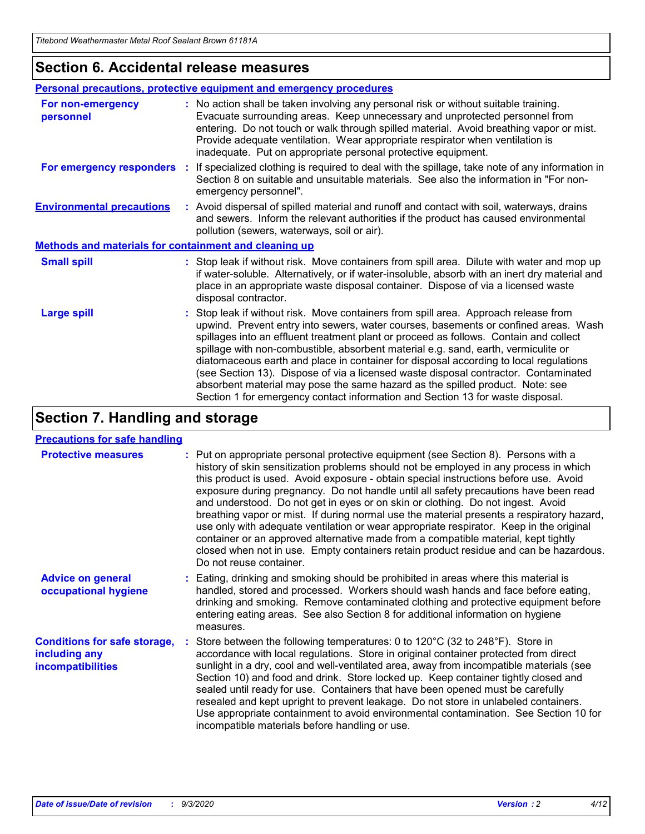### **Section 6. Accidental release measures**

|                                                              | Personal precautions, protective equipment and emergency procedures                                                                                                                                                                                                                                                                                                                                                                                                                                                                                                                                                                                                                                          |
|--------------------------------------------------------------|--------------------------------------------------------------------------------------------------------------------------------------------------------------------------------------------------------------------------------------------------------------------------------------------------------------------------------------------------------------------------------------------------------------------------------------------------------------------------------------------------------------------------------------------------------------------------------------------------------------------------------------------------------------------------------------------------------------|
| For non-emergency<br>personnel                               | : No action shall be taken involving any personal risk or without suitable training.<br>Evacuate surrounding areas. Keep unnecessary and unprotected personnel from<br>entering. Do not touch or walk through spilled material. Avoid breathing vapor or mist.<br>Provide adequate ventilation. Wear appropriate respirator when ventilation is<br>inadequate. Put on appropriate personal protective equipment.                                                                                                                                                                                                                                                                                             |
| For emergency responders                                     | : If specialized clothing is required to deal with the spillage, take note of any information in<br>Section 8 on suitable and unsuitable materials. See also the information in "For non-<br>emergency personnel".                                                                                                                                                                                                                                                                                                                                                                                                                                                                                           |
| <b>Environmental precautions</b>                             | : Avoid dispersal of spilled material and runoff and contact with soil, waterways, drains<br>and sewers. Inform the relevant authorities if the product has caused environmental<br>pollution (sewers, waterways, soil or air).                                                                                                                                                                                                                                                                                                                                                                                                                                                                              |
| <b>Methods and materials for containment and cleaning up</b> |                                                                                                                                                                                                                                                                                                                                                                                                                                                                                                                                                                                                                                                                                                              |
| <b>Small spill</b>                                           | : Stop leak if without risk. Move containers from spill area. Dilute with water and mop up<br>if water-soluble. Alternatively, or if water-insoluble, absorb with an inert dry material and<br>place in an appropriate waste disposal container. Dispose of via a licensed waste<br>disposal contractor.                                                                                                                                                                                                                                                                                                                                                                                                     |
| <b>Large spill</b>                                           | : Stop leak if without risk. Move containers from spill area. Approach release from<br>upwind. Prevent entry into sewers, water courses, basements or confined areas. Wash<br>spillages into an effluent treatment plant or proceed as follows. Contain and collect<br>spillage with non-combustible, absorbent material e.g. sand, earth, vermiculite or<br>diatomaceous earth and place in container for disposal according to local regulations<br>(see Section 13). Dispose of via a licensed waste disposal contractor. Contaminated<br>absorbent material may pose the same hazard as the spilled product. Note: see<br>Section 1 for emergency contact information and Section 13 for waste disposal. |

### **Section 7. Handling and storage**

#### **Precautions for safe handling**

| <b>Protective measures</b>                                                       | : Put on appropriate personal protective equipment (see Section 8). Persons with a<br>history of skin sensitization problems should not be employed in any process in which<br>this product is used. Avoid exposure - obtain special instructions before use. Avoid<br>exposure during pregnancy. Do not handle until all safety precautions have been read<br>and understood. Do not get in eyes or on skin or clothing. Do not ingest. Avoid<br>breathing vapor or mist. If during normal use the material presents a respiratory hazard,<br>use only with adequate ventilation or wear appropriate respirator. Keep in the original<br>container or an approved alternative made from a compatible material, kept tightly<br>closed when not in use. Empty containers retain product residue and can be hazardous.<br>Do not reuse container. |
|----------------------------------------------------------------------------------|--------------------------------------------------------------------------------------------------------------------------------------------------------------------------------------------------------------------------------------------------------------------------------------------------------------------------------------------------------------------------------------------------------------------------------------------------------------------------------------------------------------------------------------------------------------------------------------------------------------------------------------------------------------------------------------------------------------------------------------------------------------------------------------------------------------------------------------------------|
| <b>Advice on general</b><br>occupational hygiene                                 | : Eating, drinking and smoking should be prohibited in areas where this material is<br>handled, stored and processed. Workers should wash hands and face before eating,<br>drinking and smoking. Remove contaminated clothing and protective equipment before<br>entering eating areas. See also Section 8 for additional information on hygiene<br>measures.                                                                                                                                                                                                                                                                                                                                                                                                                                                                                    |
| <b>Conditions for safe storage,</b><br>including any<br><i>incompatibilities</i> | Store between the following temperatures: 0 to $120^{\circ}$ C (32 to $248^{\circ}$ F). Store in<br>accordance with local regulations. Store in original container protected from direct<br>sunlight in a dry, cool and well-ventilated area, away from incompatible materials (see<br>Section 10) and food and drink. Store locked up. Keep container tightly closed and<br>sealed until ready for use. Containers that have been opened must be carefully<br>resealed and kept upright to prevent leakage. Do not store in unlabeled containers.<br>Use appropriate containment to avoid environmental contamination. See Section 10 for<br>incompatible materials before handling or use.                                                                                                                                                     |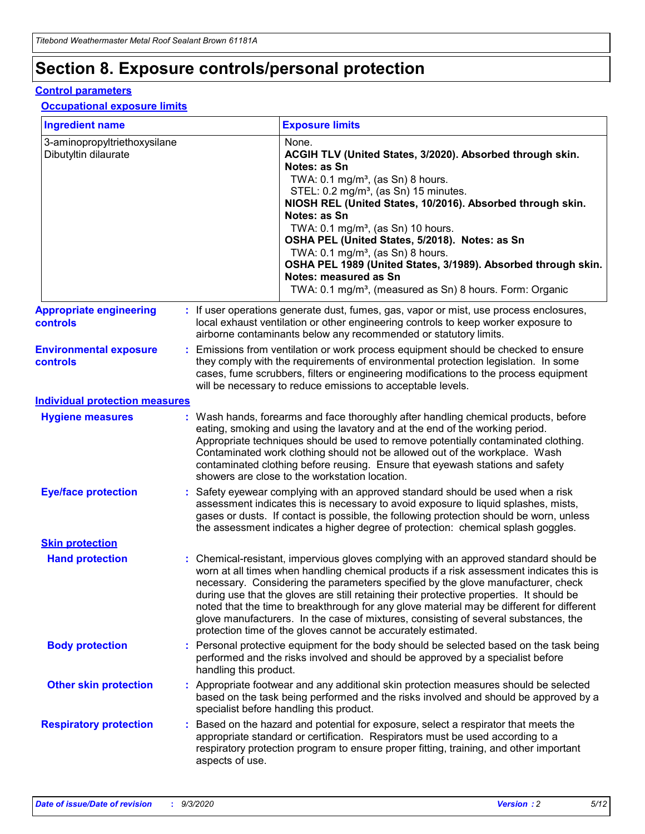# **Section 8. Exposure controls/personal protection**

#### **Control parameters**

#### **Occupational exposure limits**

| <b>Ingredient name</b>                               |    |                        | <b>Exposure limits</b>                                                                                                                                                                                                                                                                                                                                                                                                                                                                                                                                                                                                 |
|------------------------------------------------------|----|------------------------|------------------------------------------------------------------------------------------------------------------------------------------------------------------------------------------------------------------------------------------------------------------------------------------------------------------------------------------------------------------------------------------------------------------------------------------------------------------------------------------------------------------------------------------------------------------------------------------------------------------------|
| 3-aminopropyltriethoxysilane<br>Dibutyltin dilaurate |    |                        | None.<br>ACGIH TLV (United States, 3/2020). Absorbed through skin.<br>Notes: as Sn<br>TWA: $0.1 \text{ mg/m}^3$ , (as Sn) 8 hours.<br>STEL: 0.2 mg/m <sup>3</sup> , (as Sn) 15 minutes.<br>NIOSH REL (United States, 10/2016). Absorbed through skin.<br>Notes: as Sn<br>TWA: 0.1 mg/m <sup>3</sup> , (as Sn) 10 hours.<br>OSHA PEL (United States, 5/2018). Notes: as Sn<br>TWA: 0.1 mg/m <sup>3</sup> , (as Sn) 8 hours.<br>OSHA PEL 1989 (United States, 3/1989). Absorbed through skin.<br>Notes: measured as Sn<br>TWA: 0.1 mg/m <sup>3</sup> , (measured as Sn) 8 hours. Form: Organic                           |
| <b>Appropriate engineering</b><br>controls           |    |                        | : If user operations generate dust, fumes, gas, vapor or mist, use process enclosures,<br>local exhaust ventilation or other engineering controls to keep worker exposure to<br>airborne contaminants below any recommended or statutory limits.                                                                                                                                                                                                                                                                                                                                                                       |
| <b>Environmental exposure</b><br>controls            |    |                        | Emissions from ventilation or work process equipment should be checked to ensure<br>they comply with the requirements of environmental protection legislation. In some<br>cases, fume scrubbers, filters or engineering modifications to the process equipment<br>will be necessary to reduce emissions to acceptable levels.                                                                                                                                                                                                                                                                                          |
| <b>Individual protection measures</b>                |    |                        |                                                                                                                                                                                                                                                                                                                                                                                                                                                                                                                                                                                                                        |
| <b>Hygiene measures</b>                              |    |                        | : Wash hands, forearms and face thoroughly after handling chemical products, before<br>eating, smoking and using the lavatory and at the end of the working period.<br>Appropriate techniques should be used to remove potentially contaminated clothing.<br>Contaminated work clothing should not be allowed out of the workplace. Wash<br>contaminated clothing before reusing. Ensure that eyewash stations and safety<br>showers are close to the workstation location.                                                                                                                                            |
| <b>Eye/face protection</b>                           |    |                        | Safety eyewear complying with an approved standard should be used when a risk<br>assessment indicates this is necessary to avoid exposure to liquid splashes, mists,<br>gases or dusts. If contact is possible, the following protection should be worn, unless<br>the assessment indicates a higher degree of protection: chemical splash goggles.                                                                                                                                                                                                                                                                    |
| <b>Skin protection</b>                               |    |                        |                                                                                                                                                                                                                                                                                                                                                                                                                                                                                                                                                                                                                        |
| <b>Hand protection</b>                               |    |                        | : Chemical-resistant, impervious gloves complying with an approved standard should be<br>worn at all times when handling chemical products if a risk assessment indicates this is<br>necessary. Considering the parameters specified by the glove manufacturer, check<br>during use that the gloves are still retaining their protective properties. It should be<br>noted that the time to breakthrough for any glove material may be different for different<br>glove manufacturers. In the case of mixtures, consisting of several substances, the<br>protection time of the gloves cannot be accurately estimated. |
| <b>Body protection</b>                               |    | handling this product. | Personal protective equipment for the body should be selected based on the task being<br>performed and the risks involved and should be approved by a specialist before                                                                                                                                                                                                                                                                                                                                                                                                                                                |
| <b>Other skin protection</b>                         |    |                        | : Appropriate footwear and any additional skin protection measures should be selected<br>based on the task being performed and the risks involved and should be approved by a<br>specialist before handling this product.                                                                                                                                                                                                                                                                                                                                                                                              |
| <b>Respiratory protection</b>                        | ÷. | aspects of use.        | Based on the hazard and potential for exposure, select a respirator that meets the<br>appropriate standard or certification. Respirators must be used according to a<br>respiratory protection program to ensure proper fitting, training, and other important                                                                                                                                                                                                                                                                                                                                                         |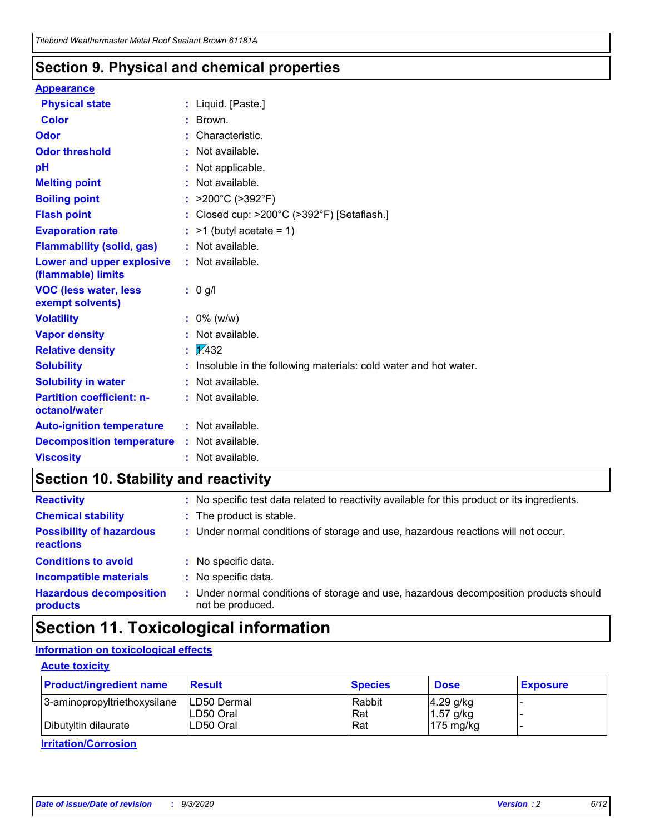### **Section 9. Physical and chemical properties**

#### **Appearance**

| <b>Physical state</b>                             |    | : Liquid. [Paste.]                                              |
|---------------------------------------------------|----|-----------------------------------------------------------------|
| <b>Color</b>                                      |    | Brown.                                                          |
| Odor                                              |    | Characteristic.                                                 |
| <b>Odor threshold</b>                             | ÷. | Not available.                                                  |
| pH                                                |    | Not applicable.                                                 |
| <b>Melting point</b>                              |    | : Not available.                                                |
| <b>Boiling point</b>                              |    | : $>200^{\circ}$ C ( $>392^{\circ}$ F)                          |
| <b>Flash point</b>                                |    | Closed cup: >200°C (>392°F) [Setaflash.]                        |
| <b>Evaporation rate</b>                           |    | $:$ >1 (butyl acetate = 1)                                      |
| <b>Flammability (solid, gas)</b>                  |    | : Not available.                                                |
| Lower and upper explosive<br>(flammable) limits   |    | : Not available.                                                |
| <b>VOC (less water, less)</b><br>exempt solvents) |    | : 0 g/l                                                         |
| <b>Volatility</b>                                 |    | $: 0\%$ (w/w)                                                   |
| <b>Vapor density</b>                              |    | Not available.                                                  |
| <b>Relative density</b>                           |    | $\frac{1}{2}$ 2.432                                             |
| <b>Solubility</b>                                 |    | Insoluble in the following materials: cold water and hot water. |
| <b>Solubility in water</b>                        |    | Not available.                                                  |
| <b>Partition coefficient: n-</b><br>octanol/water |    | $:$ Not available.                                              |
| <b>Auto-ignition temperature</b>                  |    | : Not available.                                                |
| <b>Decomposition temperature</b>                  |    | : Not available.                                                |
| <b>Viscosity</b>                                  |    | : Not available.                                                |

### **Section 10. Stability and reactivity**

| <b>Reactivity</b>                            |    | : No specific test data related to reactivity available for this product or its ingredients.            |
|----------------------------------------------|----|---------------------------------------------------------------------------------------------------------|
| <b>Chemical stability</b>                    |    | : The product is stable.                                                                                |
| <b>Possibility of hazardous</b><br>reactions |    | : Under normal conditions of storage and use, hazardous reactions will not occur.                       |
| <b>Conditions to avoid</b>                   |    | : No specific data.                                                                                     |
| <b>Incompatible materials</b>                | ٠. | No specific data.                                                                                       |
| <b>Hazardous decomposition</b><br>products   | ÷. | Under normal conditions of storage and use, hazardous decomposition products should<br>not be produced. |

## **Section 11. Toxicological information**

#### **Information on toxicological effects**

#### **Acute toxicity**

| <b>Product/ingredient name</b> | <b>Result</b>           | <b>Species</b> | <b>Dose</b>                | <b>Exposure</b> |
|--------------------------------|-------------------------|----------------|----------------------------|-----------------|
| 3-aminopropyltriethoxysilane   | <b>ILD50 Dermal</b>     | Rabbit         | 4.29 g/kg                  |                 |
| Dibutyltin dilaurate           | ILD50 Oral<br>LD50 Oral | Rat<br>Rat     | $1.57$ g/kg<br>175 $mg/kg$ |                 |
|                                |                         |                |                            |                 |

**Irritation/Corrosion**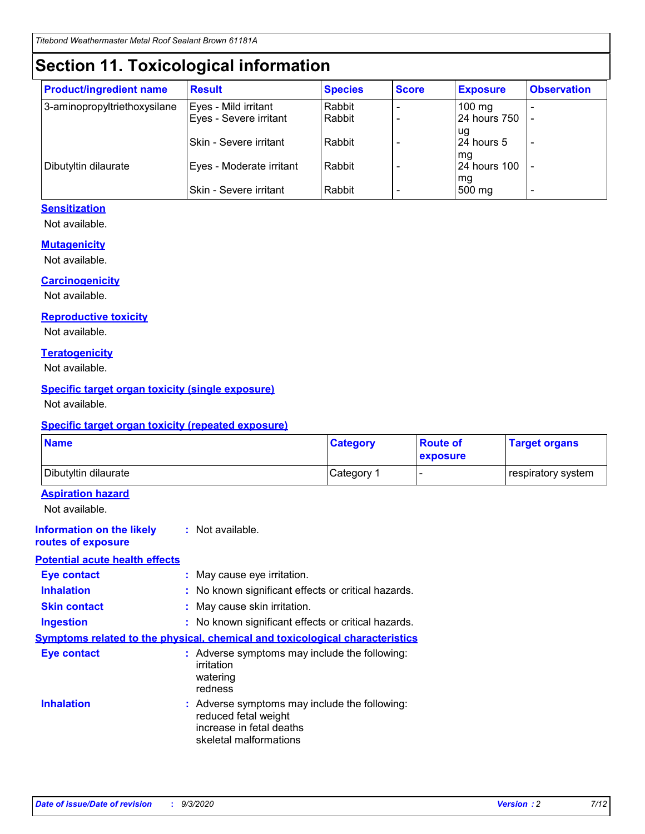# **Section 11. Toxicological information**

| <b>Product/ingredient name</b> | <b>Result</b>            | <b>Species</b> | <b>Score</b> | <b>Exposure</b>    | <b>Observation</b> |
|--------------------------------|--------------------------|----------------|--------------|--------------------|--------------------|
| 3-aminopropyltriethoxysilane   | Eyes - Mild irritant     | Rabbit         |              | $100 \text{ mg}$   |                    |
|                                | Eyes - Severe irritant   | Rabbit         |              | 24 hours 750       |                    |
|                                |                          |                |              | ug                 |                    |
|                                | Skin - Severe irritant   | Rabbit         |              | 24 hours 5         | -                  |
| Dibutyltin dilaurate           | Eyes - Moderate irritant | Rabbit         |              | mg<br>24 hours 100 |                    |
|                                |                          |                |              | mg                 |                    |
|                                | Skin - Severe irritant   | Rabbit         |              | 500 mg             | -                  |

#### **Sensitization**

Not available.

#### **Mutagenicity**

Not available.

#### **Carcinogenicity**

Not available.

#### **Reproductive toxicity**

Not available.

#### **Teratogenicity**

Not available.

#### **Specific target organ toxicity (single exposure)**

Not available.

#### **Specific target organ toxicity (repeated exposure)**

| <b>Name</b>                                                                         |                                                                            | <b>Category</b>                                     | <b>Route of</b><br>exposure | <b>Target organs</b> |  |  |
|-------------------------------------------------------------------------------------|----------------------------------------------------------------------------|-----------------------------------------------------|-----------------------------|----------------------|--|--|
| Dibutyltin dilaurate                                                                |                                                                            | Category 1                                          |                             | respiratory system   |  |  |
| <b>Aspiration hazard</b><br>Not available.                                          |                                                                            |                                                     |                             |                      |  |  |
| <b>Information on the likely</b><br>routes of exposure                              | : Not available.                                                           |                                                     |                             |                      |  |  |
| <b>Potential acute health effects</b>                                               |                                                                            |                                                     |                             |                      |  |  |
| <b>Eye contact</b>                                                                  | : May cause eye irritation.                                                |                                                     |                             |                      |  |  |
| <b>Inhalation</b>                                                                   |                                                                            | : No known significant effects or critical hazards. |                             |                      |  |  |
| <b>Skin contact</b>                                                                 |                                                                            | : May cause skin irritation.                        |                             |                      |  |  |
| <b>Ingestion</b>                                                                    |                                                                            | : No known significant effects or critical hazards. |                             |                      |  |  |
| <b>Symptoms related to the physical, chemical and toxicological characteristics</b> |                                                                            |                                                     |                             |                      |  |  |
| <b>Eye contact</b>                                                                  | irritation<br>watering<br>redness                                          | : Adverse symptoms may include the following:       |                             |                      |  |  |
| <b>Inhalation</b>                                                                   | reduced fetal weight<br>increase in fetal deaths<br>skeletal malformations | : Adverse symptoms may include the following:       |                             |                      |  |  |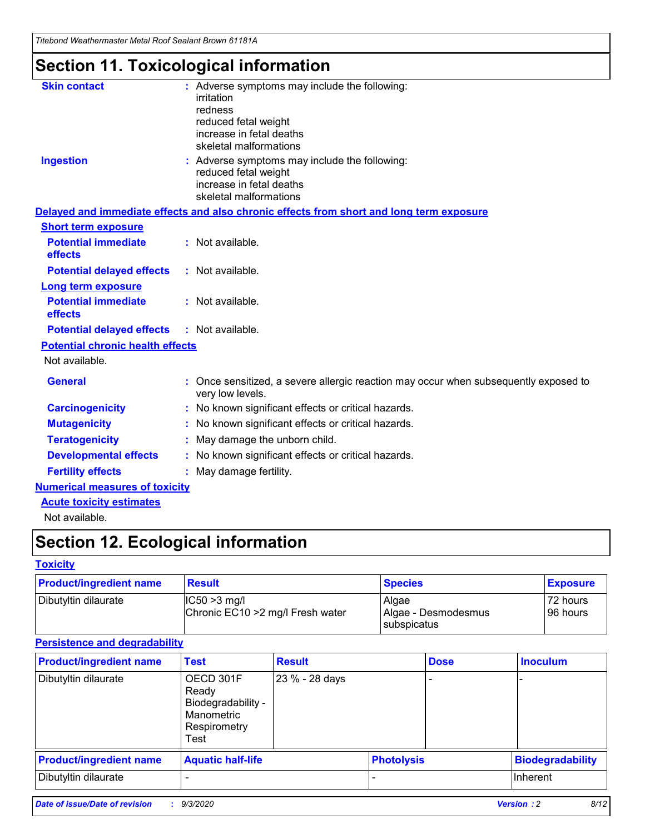*Titebond Weathermaster Metal Roof Sealant Brown 61181A*

# **Section 11. Toxicological information**

| <b>Skin contact</b>                     | : Adverse symptoms may include the following:<br>irritation<br>redness<br>reduced fetal weight<br>increase in fetal deaths<br>skeletal malformations |  |
|-----------------------------------------|------------------------------------------------------------------------------------------------------------------------------------------------------|--|
| <b>Ingestion</b>                        | : Adverse symptoms may include the following:<br>reduced fetal weight<br>increase in fetal deaths<br>skeletal malformations                          |  |
|                                         | Delayed and immediate effects and also chronic effects from short and long term exposure                                                             |  |
| <b>Short term exposure</b>              |                                                                                                                                                      |  |
| <b>Potential immediate</b><br>effects   | : Not available.                                                                                                                                     |  |
| <b>Potential delayed effects</b>        | : Not available.                                                                                                                                     |  |
| <b>Long term exposure</b>               |                                                                                                                                                      |  |
| <b>Potential immediate</b><br>effects   | : Not available.                                                                                                                                     |  |
| <b>Potential delayed effects</b>        | : Not available.                                                                                                                                     |  |
| <b>Potential chronic health effects</b> |                                                                                                                                                      |  |
| Not available.                          |                                                                                                                                                      |  |
| <b>General</b>                          | Once sensitized, a severe allergic reaction may occur when subsequently exposed to<br>very low levels.                                               |  |
| <b>Carcinogenicity</b>                  | No known significant effects or critical hazards.                                                                                                    |  |
| <b>Mutagenicity</b>                     | : No known significant effects or critical hazards.                                                                                                  |  |
| <b>Teratogenicity</b>                   | May damage the unborn child.                                                                                                                         |  |
| <b>Developmental effects</b>            | : No known significant effects or critical hazards.                                                                                                  |  |
| <b>Fertility effects</b>                | : May damage fertility.                                                                                                                              |  |
| <b>Numerical measures of toxicity</b>   |                                                                                                                                                      |  |
| <b>Acute toxicity estimates</b>         |                                                                                                                                                      |  |
| Not ovoilable                           |                                                                                                                                                      |  |

Not available.

# **Section 12. Ecological information**

#### **Toxicity**

| <b>Product/ingredient name</b> | <b>Result</b>                                       | <b>Species</b>               | <b>Exposure</b>       |
|--------------------------------|-----------------------------------------------------|------------------------------|-----------------------|
| Dibutyltin dilaurate           | $ CC50>3$ mg/l<br>Chronic EC10 > 2 mg/l Fresh water | Algae<br>Algae - Desmodesmus | 72 hours<br>196 hours |
|                                |                                                     | <b>I</b> subspicatus         |                       |

#### **Persistence and degradability**

| <b>Product/ingredient name</b> | <b>Test</b>                                                                    | <b>Result</b>  |                   | <b>Dose</b> | <b>Inoculum</b>         |
|--------------------------------|--------------------------------------------------------------------------------|----------------|-------------------|-------------|-------------------------|
| Dibutyltin dilaurate           | OECD 301F<br>Ready<br>Biodegradability -<br>Manometric<br>Respirometry<br>Test | 23 % - 28 days |                   |             |                         |
| <b>Product/ingredient name</b> | <b>Aquatic half-life</b>                                                       |                | <b>Photolysis</b> |             | <b>Biodegradability</b> |
| Dibutyltin dilaurate           |                                                                                |                |                   |             | <b>Inherent</b>         |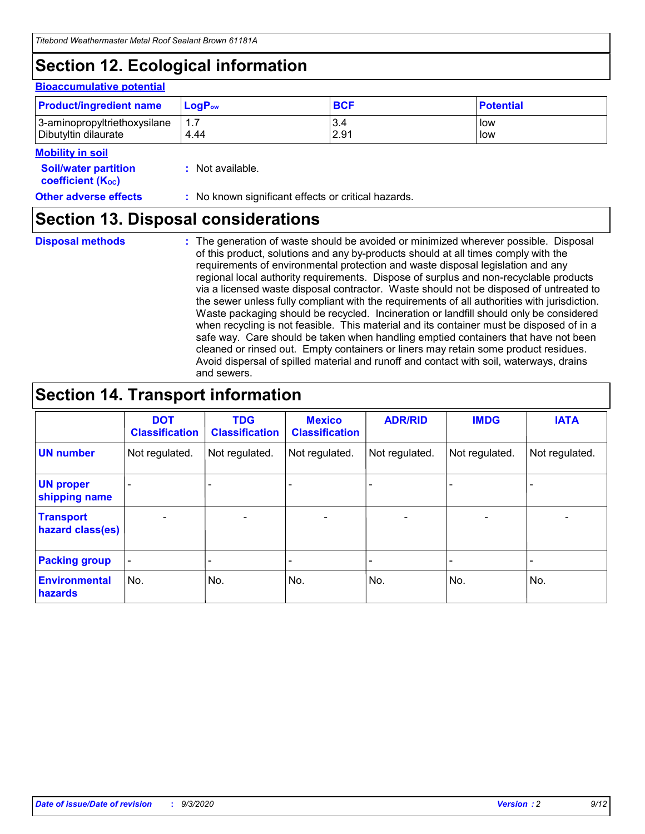# **Section 12. Ecological information**

#### **Bioaccumulative potential**

| <b>Product/ingredient name</b> | $LoaPow$ | <b>BCF</b> | <b>Potential</b> |
|--------------------------------|----------|------------|------------------|
| 3-aminopropyltriethoxysilane   | 1.7      | 3.4        | low              |
| Dibutyltin dilaurate           | 4.44     | 2.91       | low              |

#### **Mobility in soil**

| <b>Soil/water partition</b>           | : Not available. |
|---------------------------------------|------------------|
| <b>coefficient</b> (K <sub>oc</sub> ) |                  |

**Other adverse effects** : No known significant effects or critical hazards.

### **Section 13. Disposal considerations**

**Disposal methods :**

The generation of waste should be avoided or minimized wherever possible. Disposal of this product, solutions and any by-products should at all times comply with the requirements of environmental protection and waste disposal legislation and any regional local authority requirements. Dispose of surplus and non-recyclable products via a licensed waste disposal contractor. Waste should not be disposed of untreated to the sewer unless fully compliant with the requirements of all authorities with jurisdiction. Waste packaging should be recycled. Incineration or landfill should only be considered when recycling is not feasible. This material and its container must be disposed of in a safe way. Care should be taken when handling emptied containers that have not been cleaned or rinsed out. Empty containers or liners may retain some product residues. Avoid dispersal of spilled material and runoff and contact with soil, waterways, drains and sewers.

### **Section 14. Transport information**

|                                      | <b>DOT</b><br><b>Classification</b> | <b>TDG</b><br><b>Classification</b> | <b>Mexico</b><br><b>Classification</b> | <b>ADR/RID</b>               | <b>IMDG</b>              | <b>IATA</b>    |
|--------------------------------------|-------------------------------------|-------------------------------------|----------------------------------------|------------------------------|--------------------------|----------------|
| <b>UN number</b>                     | Not regulated.                      | Not regulated.                      | Not regulated.                         | Not regulated.               | Not regulated.           | Not regulated. |
| <b>UN proper</b><br>shipping name    |                                     |                                     |                                        |                              |                          |                |
| <b>Transport</b><br>hazard class(es) | $\overline{\phantom{0}}$            | $\overline{\phantom{0}}$            | $\qquad \qquad$                        | $\qquad \qquad \blacksquare$ | $\overline{\phantom{0}}$ |                |
| <b>Packing group</b>                 | -                                   |                                     |                                        |                              |                          |                |
| <b>Environmental</b><br>hazards      | No.                                 | No.                                 | No.                                    | No.                          | No.                      | No.            |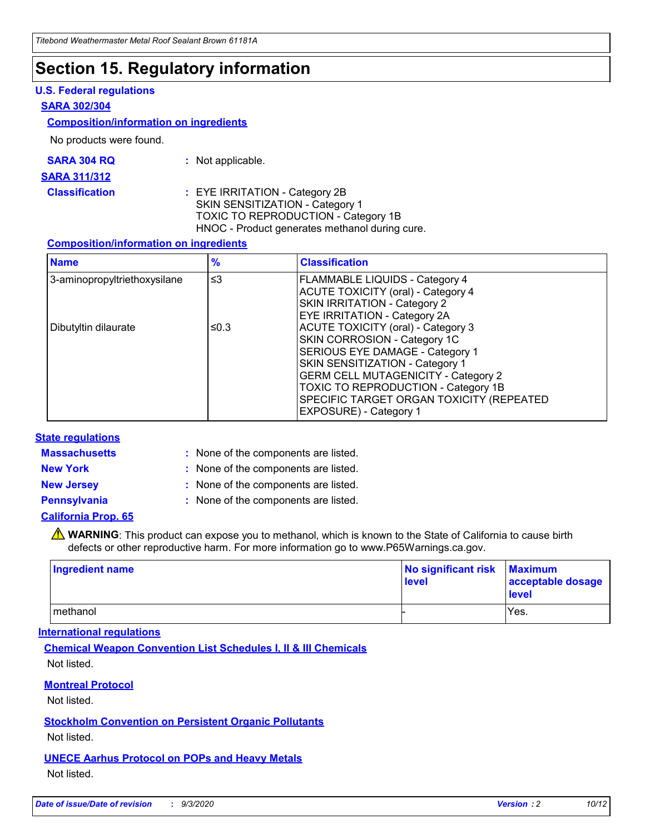### **Section 15. Regulatory information**

#### **U.S. Federal regulations**

#### **SARA 302/304**

#### **Composition/information on ingredients**

No products were found.

| SARA 304 RQ | Not applicable. |
|-------------|-----------------|
|-------------|-----------------|

#### **SARA 311/312**

**Classification :** EYE IRRITATION - Category 2B SKIN SENSITIZATION - Category 1 TOXIC TO REPRODUCTION - Category 1B HNOC - Product generates methanol during cure.

#### **Composition/information on ingredients**

| <b>Name</b>                  | $\frac{9}{6}$ | <b>Classification</b>                                                                                                                                                                                                                                                                                      |
|------------------------------|---------------|------------------------------------------------------------------------------------------------------------------------------------------------------------------------------------------------------------------------------------------------------------------------------------------------------------|
| 3-aminopropyltriethoxysilane | $\leq$ 3      | <b>FLAMMABLE LIQUIDS - Category 4</b><br><b>ACUTE TOXICITY (oral) - Category 4</b><br><b>SKIN IRRITATION - Category 2</b><br>EYE IRRITATION - Category 2A                                                                                                                                                  |
| Dibutyltin dilaurate         | ≤0.3          | <b>ACUTE TOXICITY (oral) - Category 3</b><br>SKIN CORROSION - Category 1C<br>SERIOUS EYE DAMAGE - Category 1<br>SKIN SENSITIZATION - Category 1<br><b>GERM CELL MUTAGENICITY - Category 2</b><br>TOXIC TO REPRODUCTION - Category 1B<br>SPECIFIC TARGET ORGAN TOXICITY (REPEATED<br>EXPOSURE) - Category 1 |

#### **State regulations**

**Massachusetts :**

: None of the components are listed.

**New York :** None of the components are listed. **New Jersey :** None of the components are listed.

**Pennsylvania :** None of the components are listed.

#### **California Prop. 65**

WARNING: This product can expose you to methanol, which is known to the State of California to cause birth defects or other reproductive harm. For more information go to www.P65Warnings.ca.gov.

| Ingredient name | No significant risk<br>level | <b>Maximum</b><br>acceptable dosage<br><b>level</b> |
|-----------------|------------------------------|-----------------------------------------------------|
| l methanol      |                              | Yes.                                                |

#### **International regulations**

**Chemical Weapon Convention List Schedules I, II & III Chemicals** Not listed.

#### **Montreal Protocol**

Not listed.

**Stockholm Convention on Persistent Organic Pollutants**

Not listed.

#### **UNECE Aarhus Protocol on POPs and Heavy Metals** Not listed.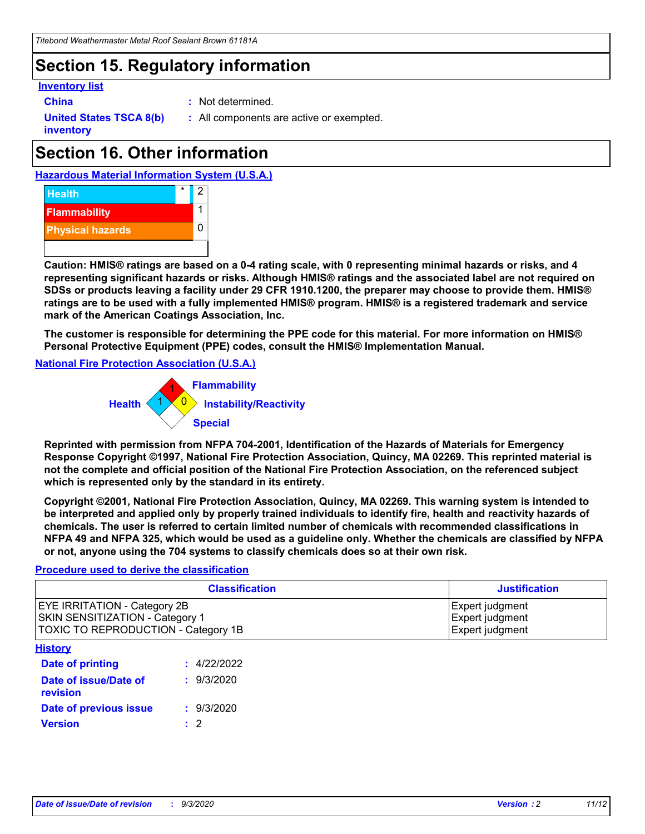### **Section 15. Regulatory information**

#### **Inventory list**

- 
- **China :** Not determined.

**United States TSCA 8(b) inventory**

**:** All components are active or exempted.

# **Section 16. Other information**

**Hazardous Material Information System (U.S.A.)**



**Caution: HMIS® ratings are based on a 0-4 rating scale, with 0 representing minimal hazards or risks, and 4 representing significant hazards or risks. Although HMIS® ratings and the associated label are not required on SDSs or products leaving a facility under 29 CFR 1910.1200, the preparer may choose to provide them. HMIS® ratings are to be used with a fully implemented HMIS® program. HMIS® is a registered trademark and service mark of the American Coatings Association, Inc.**

**The customer is responsible for determining the PPE code for this material. For more information on HMIS® Personal Protective Equipment (PPE) codes, consult the HMIS® Implementation Manual.**

**National Fire Protection Association (U.S.A.)**



**Reprinted with permission from NFPA 704-2001, Identification of the Hazards of Materials for Emergency Response Copyright ©1997, National Fire Protection Association, Quincy, MA 02269. This reprinted material is not the complete and official position of the National Fire Protection Association, on the referenced subject which is represented only by the standard in its entirety.**

**Copyright ©2001, National Fire Protection Association, Quincy, MA 02269. This warning system is intended to be interpreted and applied only by properly trained individuals to identify fire, health and reactivity hazards of chemicals. The user is referred to certain limited number of chemicals with recommended classifications in NFPA 49 and NFPA 325, which would be used as a guideline only. Whether the chemicals are classified by NFPA or not, anyone using the 704 systems to classify chemicals does so at their own risk.**

#### **Procedure used to derive the classification**

| <b>Classification</b>                                                                                         | <b>Justification</b>                                  |
|---------------------------------------------------------------------------------------------------------------|-------------------------------------------------------|
| <b>EYE IRRITATION - Category 2B</b><br>SKIN SENSITIZATION - Category 1<br>TOXIC TO REPRODUCTION - Category 1B | Expert judgment<br>Expert judgment<br>Expert judgment |
| <b>History</b>                                                                                                |                                                       |

| <b>Date of printing</b>           | : 4/22/2022 |
|-----------------------------------|-------------|
| Date of issue/Date of<br>revision | : 9/3/2020  |
| Date of previous issue            | : 9/3/2020  |
| <b>Version</b>                    | $\cdot$ 2   |
|                                   |             |